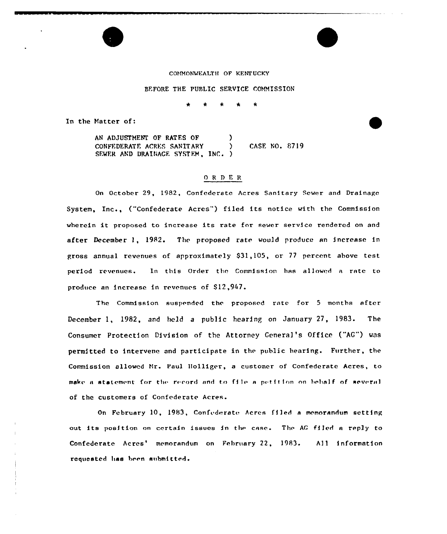#### COMMONWEALTH OF KENTUCKY

#### BEFORE THE PUBLIC SERVICE COMMISSION

 $\star$ 

In the Matter of:

AN ADJUSTMENT OF RATES OF  $)$ CONFFDERATF. ACRE, SANITARY ) CASF. NO. 8719 SEWER AND DRAINACE SYSTEM, INC. )

# ORDER

On October 29, 1982, Confederate Acres Sanitary Sewer and Drainage System, Inc., ("Confederate Acres") filed its notice with the Commission wherein it proposed to increase its rate for sewer service rendered on and after December 1, 1982. The proposed rate would produce an increase in gross annual revenues of approximately \$31,105, or 77 percent above test period revenues. In this Order the Commission has allowed a rate to produce an increase in revenues of \$12,947.

The Commission suspended the proposed rate for <sup>5</sup> months after December 1, 1982, and held a public hearing on January  $27$ , 1983. The Consumer Protection Division of the Attorney Genera]'s Office ("AG") was permitted to intervene and participate in the public hearing. Further, the Commission allowed Mr. Paul ]iolliger, a customer of Confederate Acres, to make a statement for the record and to file a petition on behalf of several of the customers of Confederate Acres.

On February 10, 1983, Confederate Acres filed a memorandum setting out its position on certain issues in the case. The AG filed a reply to Confederate Acres' memorandum on February 22, 1983. All information requested has been submitted.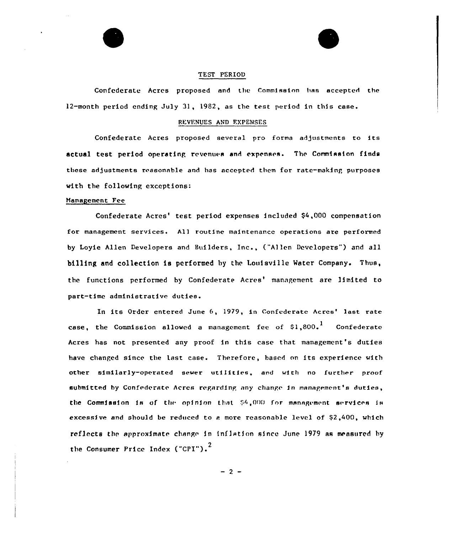



Confederate Acres proposed and the Commission has accepted the 12-month period ending July 31, 1982, as the test period in this case.

### REVENUES AND EXPENSES

Confederate Acres proposed several pro forma adjustments to its actual test period operating revenues and expenses. The Commission finds these adjustments reasonable and has accepted them for rate-making purposes with the following exceptions:

#### Management Fee

Confederate Acres' test period expenses included \$4,000 compensation for management services. All routine maintenance operations are performed by Loyie Allen Developers and Builders, Inc., ("Allen Developers") and all billing and collection is performed by the Louisville Mater Company. Thus, the functions performed by Confederate Acres' management are limited to part-time administrative duties.

In its Order entered June 6, 1979, in Confederate Acres' last rate case, the Commission allowed a management fee of  $\text{\$1,800.}^{\text{1}}$  Confederat Acres has not presented any proof in this case that management's duties have changed since the last case. Therefore, based on its experience with other similarly-operated sewer utiIities, and with no further proof submitted by Confederate Acres regarding any change in management's duties, the Commission is of the opinion that  $$4,000$  for management services is excessive and should be reduced to a more reasonable level of  $\S2,400$ , which reflects the approximate change in inflation since June 1979 as measured by the Consumer Price Index ("CPI"). $^2$ 

 $-2 -$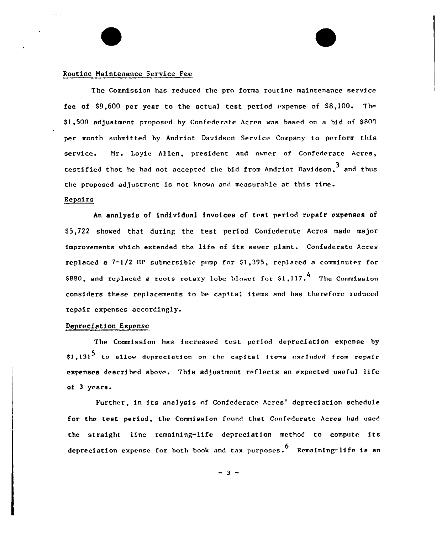## Routine Maintenance Service Fee

The Commission has reduced the pro forms routine maintenance service fee of \$9,600 per year to the actual test period expense of \$8,100. The \$1,500 adjustment proposed by Confederate Acres was based on a bid of \$800 per month submitted by Andriot Davidson Service Company to perform this service. Mr. Loyie Allen, president and owner of Confederate Acres, testified that he had not accepted the bid from Andriot Davidson, $^3$  and thu the proposed adjustment is not known and measurable at this time.

## Repairs

An analysis of individual invoices of test period repair expenses of \$ 5,722 showed that during the test period Confederate Acres made ma)or improvements which extended the life of its sewer plant. Confederate Acres replaced a  $7-1/2$  HP submersible pump for  $$1,395$ , replaced a comminuter for  $$880$ , and replaced a roots rotary lobe blower for  $$1,117.^4$  The Commission considers these replacements to be capital items and has therefore reduced repair expenses accordingly.

## Depreciation Expense

The Commission has increased test period depreciation expense by  $$1,131<sup>5</sup>$  to allow depreciation on the capital items excluded from repair expenses described above. This adjustment reflects an expected useful life of <sup>3</sup> yc are.

Further, in its analysis of Confederate Acres' depreciation schedule for the test period, the Commission found that Confederate Acres had used the straight line remaining-life depreciation method to compute its depreciation expense for both book and tax purposes.<sup>6</sup> Remaining-life is an

 $-3 -$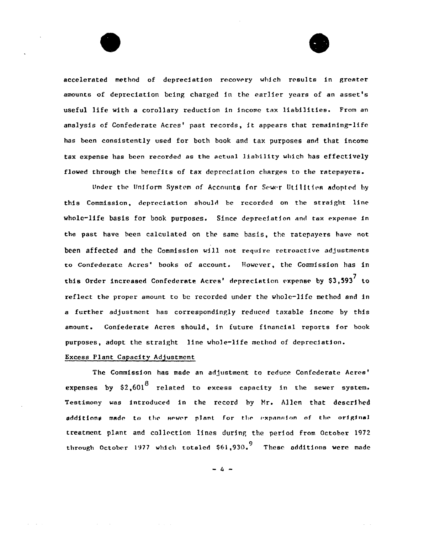accelerated method of depreciation recovery which rrsults in greater amounts of depreciation being charged in ihe earlier years of an asset's useful life with <sup>a</sup> corollary reduction in income tax liabilities. From an analysis of Confederate Acres' past records, it appears that remaining-life has been consistently used for both book and tax purposes and that income tax expense has been recorded as the actual liability which has effectively flowed through the benefits of tax depreciation charges to the ratepayers.

Under the Uniform System of Accounts for Sewer Utilities adopted by this Commission, depreciation should be recorded on the straight line whole-life basis for book purposes. Since depreciation and tax expense in the past have been calculated on the same basis, the ratepayers have not been affected and the Commission will not require retroactive adjustments to Confederate Acres' books of account. However, the Commission has in this Order increased Confederate Acres' depreciation expense by \$3,593<sup>7</sup> to reflect the proper amount to bc recorded under the whole-life method and in a further adjustment has correspondingly reduced taxable income by this amount. Confederate Acres should, in future financial reports for book purposes, adopt the straight line whole-life method of depreciation.

# Excess Plant Capacity Adjustment

The Commission has made an adjustment to reduce Confederate Acres' expenses by  $$2,601<sup>8</sup>$  related to excess capacity in the sewer system. Testimony was introduced in the record by Hr. Allen that described additions made to the sewer plant for the expansion of the original treatment plant and collection lines during the period from October 1972 through October 1977 which totaled  $$61,930.^{\rm 9}$  These additions were made

 $= 4 -$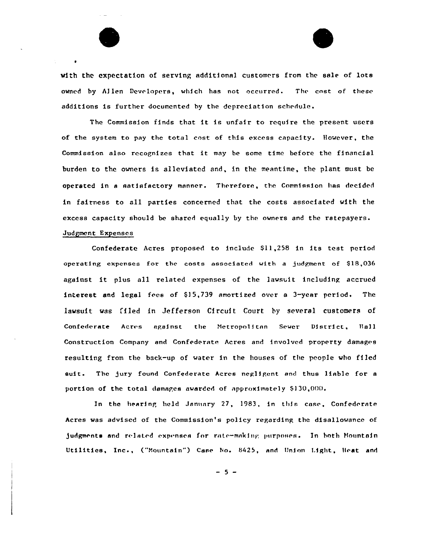



with the expectation of serving additional customers from the sale of lots owned by Allen Devrlopers, which has not occurred. The cost of these additions is further documented by the depreciation schedule.

The Commission finds that it is unfair to require the present users of the system to pay the total cost of this excess capacity. However, the Commission also recognizes that it may be some time before the financial burden to the owners is alleviated and, in the meantime, the plant must be operated in a satisfactory manner. Therefore, the Commission has decided in fairness to all parties concerned that the costs associated with the excess capacity should be shared equally by the owners and the ratepayers. Judgment Expenses

Confederate Acres proposed to include \$11,258 in its test period operating expenses for the costs associated with a judgment of 818,036 against it plus all related expenses of the lawsuit including accrued interest and legal fres of 5] 5,739 amortized over a 3-year period. The lawsuit was filed in Jefferson Circuit Court by several customers of Confederate Acres against the Metropolitan Sewer District, Hall Construction Company and Confederate Acres and involved property damages resulting from the back-up of water in the houses of the people who filed suit. The jury found Confederate Acres negligent and thus liable for a portion of the total damages awarded of approximately \$130,000.

In the hearing held January 27, 1983, in this case, Confederate Acres was advised of the Commission's policy regarding the disallowance of judgments and related expenses for rate-making purposes. In both Mountain Utilities, Inc., ("Mountain") Case No. 8425, and Union Light, Heat and

 $-5 -$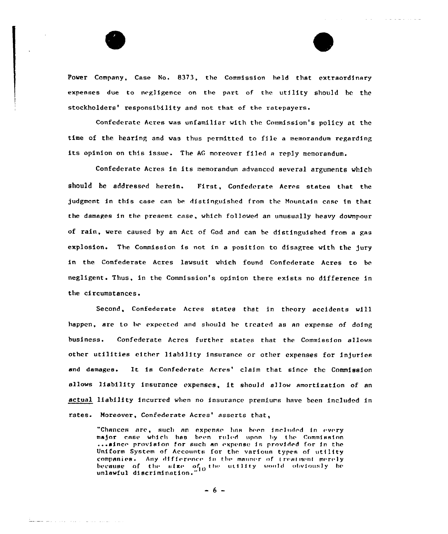

<u>balan</u> ang mga matatagpang mga ma

Power Company, Case No. 8373, the Commission held that extraordinary expenses due to negligence on tbe part of the utility should be the stockholders' responsibility and not that of the ratepayers.

and the contract of the second contract

Confederate Acres vas unfamiliar with the Commission's policy at thc time of the hearing and was thus permitted to file a memorandum regarding its opinion on this issue. The AG moreover filed a reply memorandum.

Confederate Acres in its memorandum advanced several arguments which should be addressed herein. First, Confederate Acres states that the judgment in this case can be distinguished from the Mountain case in that the damages in the present case, which followed an unusually heavy downpour of rain, vere caused by an Act of God and can be dfstingufshed from <sup>a</sup> gas explosion. The Commission is not in a position to disagree with the jury in the Confederate Acres lavsuit which found Confederate Acres to be negligent. Thus, fn the Commission's opinion there exists no difference in the circumstances.

Second, Confederate Acres states that in theory accidents will happen, are to be expected and should be treated as an expense of doing business. Confederate Acres further states that the Commission allows other utilities either liability insurance or other expenses for injuries and damages. It is Confederate Acres' claim that since the Commission allows liability insurance expenses, it should allow amortization of an actual liability incurred when no insurance premiums have been included in rates. Moreover, Confederate Acres' asserts that,

"Chances are, such an expense has been included in every major case which has been ruled upon by the Commission<br>...since provision for such an expense is provided for in the Uniform System of Accounts for the various types of utility companies. Any difference in the manner of treatment merely because of the size of  $_0$  the utility would obviously be<br>unlawful discrimination."

 $-6 -$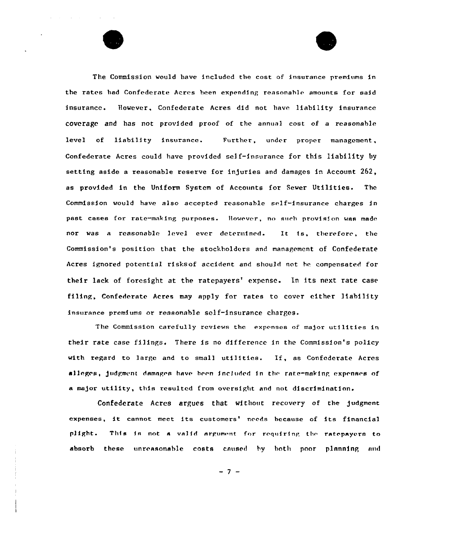



The Commission would have included the cost of insurance premiums in the rates had Confederate Acres been expending reasonable amounts for said insurance. However, Confederate Acres did not have liability insurance coverage and has not provided proof of the annual cost of a reasonable level of liability insurance. Further, under proper management, Confederate Acres could have provided self-insurance for this liability by setting aside a reasonable reserve for injuries and damages in Account 262, as provided in the Uniform System of Accounts for Sewer Utilities. The Commission would have also accepted reasonable self-insurance charges in past cases for rate-making purposes. However, no such provision was made nor was a reasonable level ever determined. It is, therefore, the Commission's position that the stockholders and management of Confederate Acres ignored potential risksof accident and should not he compensated for their lack of foresight at the ratepayers' expense. In its next rate case filing, Confederate Acres may apply for rates to cover either liability insurance premiums or reasonable self-insurance charges.

The Commission carefully reviews the expenses of major utilities in their rate case filings. There is no difference in the Commission's policy with regard to large and to small utilities. If, as Confederate Acres alleges, judgment damages have been included in the rate-making expenses of a major utility, this resulted from oversight and not discrimination.

Confederate Acres argues that without recovery of the judgment expenses, it cannot meet its customers' needs because of its financial plight. This is not a valid argument for requiring the ratepayers to absorb these unreasonable costs caused by both poor planning and

- 7 –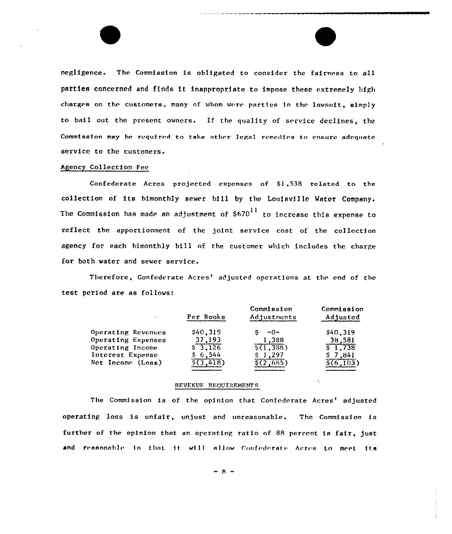negligence. The Commission is obligated to consider the fairness to all parties concerned and finds it inappropriate to impose these extremely high charges on the customers, many of whom were parties in the lawsuit, simply to bail out the present owners. If the quality of service declines, the Commission may be required to take other legal remedies to ensure adequate service to the customers.

### Agency Collection Fee

Confederate Acres projected expenses of  $$1,538$  related to the collection of its himonthly sewer bill by the Louisville Water Company. The Commission has made an adjustment of  $$670<sup>11</sup>$  to increase this expense to reflect the apportionment of the joint service cost of the collection agency for each bimonthly bill nf the customer which includes the charge for both water and sewer service.

Therefore, Confederate Acres' adjusted operations at the end of the test period are as follows:

|                    | Per Books | Commission<br>Adjustments | Commission<br>Adjusted |
|--------------------|-----------|---------------------------|------------------------|
| Operating Revenues | \$40,319  | -0−                       | \$40,319               |
| Operating Expenses | 37,193    | 1,388                     | 38,581                 |
| Operating Income   | \$3.126   | $\sqrt{5(1,388)}$         | \$1.738                |
| Interest Expense   | \$6,544   | 1.297                     | 7.841                  |
| Net Income (Loss)  | 3.418)    | 2.685)                    | 6.103)                 |

### REVENUE REQUIREMENTS

The Commission is of the opinion that Confederate Acres' adjusted operating loss is unfair, unjust and unreasonable. The Commission is further of the opinion that an operating ratio of 88 percent is fair, just and reasonable in that it will allow Confederate Acrea to meet its

 $-8-$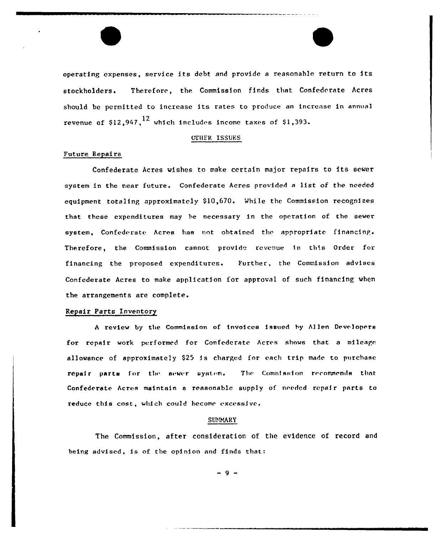operating expenses, service its debt and provide <sup>a</sup> reasonable return to its stockholders. Therefore, the Commission finds that Confederate Acres should be permitted to increase its rates to produce an increase in annual revenue of  $$12,947$ ,  $^{12}$  which includes income taxes of  $$1,393$ .

## OTHER ISSUES

# Future Repairs

Confederate Acres wishes to make certain major repairs to its sewer system in the near future. Confederate Acres provided <sup>a</sup> list of the needed equipment totaling approximately \$10,670. While the Commission recognizes that these expenditures may be necessary in the operation of the sewer system, Confederate Acres has not obtained the appropriate financing. Therefore, the Commission cannot provide revenue in this Order for financing the proposed expenditures. Further, the Commission advises Confederate Acres to make application for approval of such financing when the arrangements are complete.

### Repair Parts Inventory

A review by the Commission of invoices issued by Allen Developers for repair work performed for Confederate Acres shows that <sup>a</sup> mileage allowance of approximately \$25 is charged for each trip made to purchase repair parts for the sewer system. The Commission recommends that Confederate Acres maintain a reasonable supply of needed repair parts to reduce this cost, which could become excessive.

### SUMMARY

The Commission, after consideration of the evidence of record and being advised, is of the opinion and finds that:

 $-9-$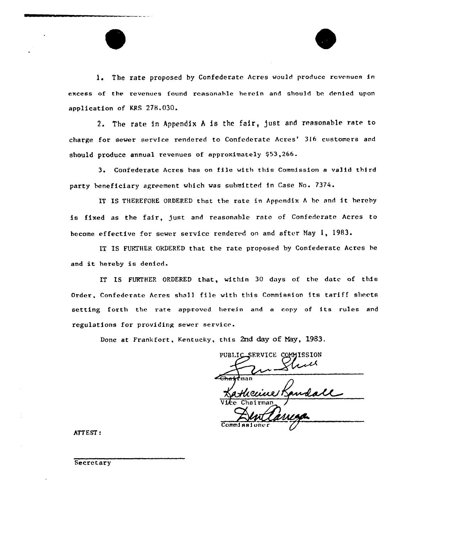l. The rate proposed by Confederate Acres would produce revenues in excess of the revenues found reasonable herein and should be denied upon application of KRS 278.030.

2. The rate in Appendix A is the fair, just and reasonable rate to charge for sewer service rendered to Confederate Acres' 316 customers and should produce annual revenues of approximately \$53,266.

3. Confederate Acres has on file with this Commission <sup>a</sup> valid third party beneficiary agreement which was submitted in Case No. 7374.

IT IS THEREFORE ORDERED that the rate in Appendix  $A$  be and it hereby is fixed as the fair, just and reasonable rate of Confederate Acres to become effective for sewer service rendered on and after Nay 1, 1983.

IT IS FURTHER ORDERED that the rate proposed by Confederate Acres he and it hereby is denied.

IT IS FURTHER ORDERED that, within 30 days of the date of this Order, Confederate Acres shal] file with this Commission its tariff sheets setting forth the rate approved herein and <sup>a</sup> copy of its rules and regulations for providing sewer service.

Done at Frankfort, Kentucky, this 2nd day of Nay, 1983.

PUBLIC\_SERVICE COMMISSION Kathecicle K Commi<sub>8</sub>

ATTEST:

Secretary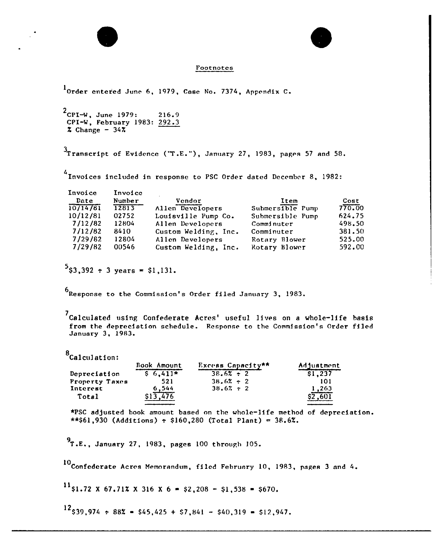## Footnotes

1Order entered June 6, 1979, Case No. 7374, Appendix C.

 $^{2}$ CPI-W, June 1979: 216.9 CPI-W, February 1983: 292.3  $x$  Change  $-34x$ 

 $3$ Transcript of Evidence ("T.E."), January 27, 1983, pages 57 and 58.

4 Invoices included in response to PSC Order dated December 8, 1982:

| Invoice  | Invoice |                      |                  |        |
|----------|---------|----------------------|------------------|--------|
| Date     | Number  | Vendor               | Item             | Cost   |
| 10/14/81 | 12813   | Allen Developers     | Submersible Pump | 770.00 |
| 10/12/81 | 02752   | Louisville Pump Co.  | Submersible Pump | 624.75 |
| 7/12/82  | 12804   | Allen Developers     | Comminuter       | 498.50 |
| 7/12/82  | 8410    | Custom Welding, Inc. | Comminuter       | 381.50 |
| 7/29/82  | 12804   | Allen Developers     | Rotary Blower    | 525.00 |
| 7/29/82  | 00546   | Custom Welding, Inc. | Rotary Blower    | 592.00 |

 $5$ \$3,392  $\pm$  3 years = \$1,131.

6 Response to the Commission's Order filed January 3, 1983.

 $^{7}$ Calculated using Confederate Acres' useful lives on a whole-life basis from the depreciation schedule. Response to the Commission's Order filed January 3, 1983.

8Calculation:

|                | Book Amount | Excess Capacity** | Adjustment |
|----------------|-------------|-------------------|------------|
| Depreciation   | $$6.411*$   | $38.6% \div 2$    | \$1,237    |
| Property Taxes | 521         | $38.6% \div 2$    | 101        |
| Interest       | 6.544       | $38.67 \div 2$    | 1,263      |
| Total          |             |                   | .601       |
|                |             |                   |            |

\*PSC adjusted book amount based on the whole-life method of depreciation.  $***561,930$  (Additions) : \$160,280 (Total Plant) = 38.6%.

<sup>9</sup>T.E., January 27, 1983, pages <sup>100</sup> through 105.

10Confederate Acres Memorandum, filed February 10, 1983, pages 3 and 4.

 $^{11}$ \$1.72 X 67.71% X 316 X 6 = \$2,208 - \$1,538 = \$670.

 $12$  \$39,974  $\div$  88% = \$45,425 + \$7,841 - \$40,319 = \$12,947.